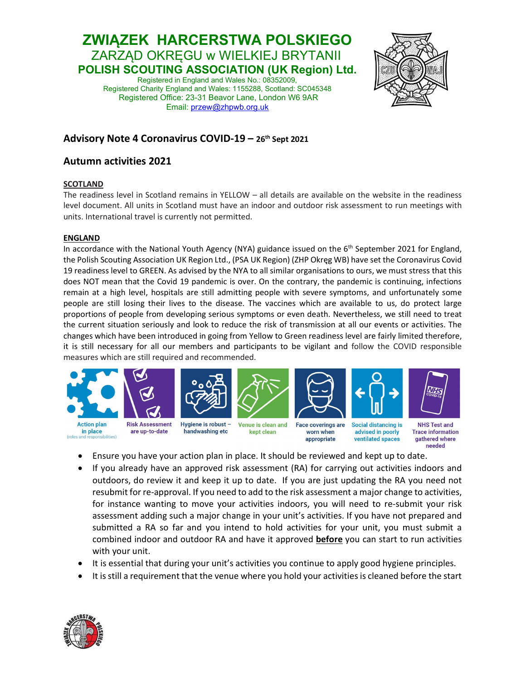# ZWIĄZEK HARCERSTWA POLSKIEGO ZARZĄD OKRĘGU w WIELKIEJ BRYTANII POLISH SCOUTING ASSOCIATION (UK Region) Ltd. Registered in England and Wales No.: 08352009,

Registered Charity England and Wales: 1155288, Scotland: SC045348 Registered Office: 23-31 Beavor Lane, London W6 9AR Email: przew@zhpwb.org.uk



ventilated spaces

appropriate

gathered where

needed

### Advisory Note 4 Coronavirus COVID-19 – 26th Sept 2021

## Autumn activities 2021

### **SCOTLAND**

The readiness level in Scotland remains in YELLOW – all details are available on the website in the readiness level document. All units in Scotland must have an indoor and outdoor risk assessment to run meetings with units. International travel is currently not permitted.

#### ENGLAND

(roles and

sibilities)

In accordance with the National Youth Agency (NYA) guidance issued on the  $6<sup>th</sup>$  September 2021 for England, the Polish Scouting Association UK Region Ltd., (PSA UK Region) (ZHP Okręg WB) have set the Coronavirus Covid 19 readiness level to GREEN. As advised by the NYA to all similar organisations to ours, we must stress that this does NOT mean that the Covid 19 pandemic is over. On the contrary, the pandemic is continuing, infections remain at a high level, hospitals are still admitting people with severe symptoms, and unfortunately some people are still losing their lives to the disease. The vaccines which are available to us, do protect large proportions of people from developing serious symptoms or even death. Nevertheless, we still need to treat the current situation seriously and look to reduce the risk of transmission at all our events or activities. The changes which have been introduced in going from Yellow to Green readiness level are fairly limited therefore, it is still necessary for all our members and participants to be vigilant and follow the COVID responsible measures which are still required and recommended.



- Ensure you have your action plan in place. It should be reviewed and kept up to date.
- If you already have an approved risk assessment (RA) for carrying out activities indoors and outdoors, do review it and keep it up to date. If you are just updating the RA you need not resubmit for re-approval. If you need to add to the risk assessment a major change to activities, for instance wanting to move your activities indoors, you will need to re-submit your risk assessment adding such a major change in your unit's activities. If you have not prepared and submitted a RA so far and you intend to hold activities for your unit, you must submit a combined indoor and outdoor RA and have it approved **before** you can start to run activities with your unit.
- It is essential that during your unit's activities you continue to apply good hygiene principles.
- It is still a requirement that the venue where you hold your activities is cleaned before the start